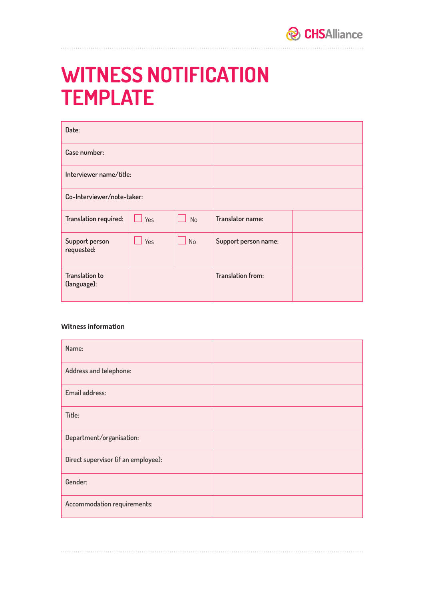

## **WITNESS NOTIFICATION TEMPLATE**

| Date:                                |     |                             |                      |  |
|--------------------------------------|-----|-----------------------------|----------------------|--|
| Case number:                         |     |                             |                      |  |
| Interviewer name/title:              |     |                             |                      |  |
| Co-Interviewer/note-taker:           |     |                             |                      |  |
| Translation required:                | Yes | <b>No</b>                   | Translator name:     |  |
| Support person<br>requested:         | Yes | $\overline{\phantom{a}}$ No | Support person name: |  |
| <b>Translation to</b><br>(language): |     |                             | Translation from:    |  |

## **Witness information**

| Name:                               |  |
|-------------------------------------|--|
| Address and telephone:              |  |
| Email address:                      |  |
| Title:                              |  |
| Department/organisation:            |  |
| Direct supervisor (if an employee): |  |
| Gender:                             |  |
| Accommodation requirements:         |  |